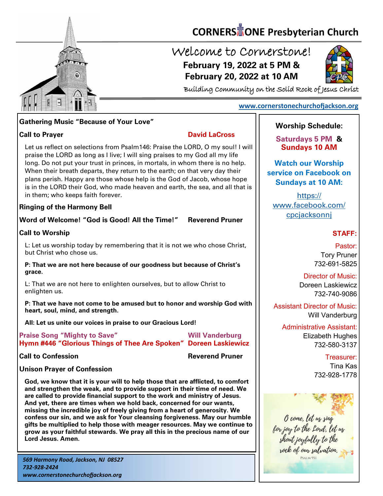

# **CORNERS** TONE Presbyterian Church

### Welcome to Cornerstone! **February 19, 2022 at 5 PM & February 20, 2022 at 10 AM**



Building Community on the Solid Rock of Jesus Christ

#### **[www.cornerstonechurchofjackson.org](http://www.cornerstonechurchofjackson.org)**

#### **Gathering Music "Because of Your Love"**

**Call to Prayer David LaCross** 

 praise the LORD as long as I live; I will sing praises to my God all my life Let us reflect on selections from Psalm146: Praise the LORD, O my soul! I will long. Do not put your trust in princes, in mortals, in whom there is no help. When their breath departs, they return to the earth; on that very day their plans perish. Happy are those whose help is the God of Jacob, whose hope is in the LORD their God, who made heaven and earth, the sea, and all that is in them; who keeps faith forever.

#### **Ringing of the Harmony Bell**

#### **Word of Welcome! "God is Good! All the Time!" Reverend Pruner**

#### **Call to Worship**

L: Let us worship today by remembering that it is not we who chose Christ, but Christ who chose us.

**P: That we are not here because of our goodness but because of Christ's grace.**

L: That we are not here to enlighten ourselves, but to allow Christ to enlighten us.

**P: That we have not come to be amused but to honor and worship God with heart, soul, mind, and strength.**

**All: Let us unite our voices in praise to our Gracious Lord!**

| <b>Praise Song "Mighty to Save"</b>                              | <b>Will Vanderburg</b> |
|------------------------------------------------------------------|------------------------|
| Hymn #446 "Glorious Things of Thee Are Spoken" Doreen Laskiewicz |                        |

**Call to Confession Reverend Pruner**

#### **Unison Prayer of Confession**

**God, we know that it is your will to help those that are afflicted, to comfort and strengthen the weak, and to provide support in their time of need. We are called to provide financial support to the work and ministry of Jesus. And yet, there are times when we hold back, concerned for our wants, missing the incredible joy of freely giving from a heart of generosity. We confess our sin, and we ask for Your cleansing forgiveness. May our humble gifts be multiplied to help those with meager resources. May we continue to grow as your faithful stewards. We pray all this in the precious name of our Lord Jesus. Amen.**

*569 Harmony Road, Jackson, NJ 08527 732-928-2424 www.cornerstonechurchofjackson.org*

### **Worship Schedule:**

**Saturdays 5 PM & Sundays 10 AM**

**Watch our Worship service on Facebook on Sundays at 10 AM:**

[https://](https://www.facebook.com/cpcjacksonnj) [www.facebook.com/](https://www.facebook.com/cpcjacksonnj) [cpcjacksonnj](https://www.facebook.com/cpcjacksonnj)

#### **STAFF:**

Pastor: Tory Pruner 732-691-5825

Director of Music: Doreen Laskiewicz 732-740-9086

Assistant Director of Music: Will Vanderburg

Administrative Assistant: Elizabeth Hughes 732-580-3137

> Treasurer: Tina Kas 732-928-1778